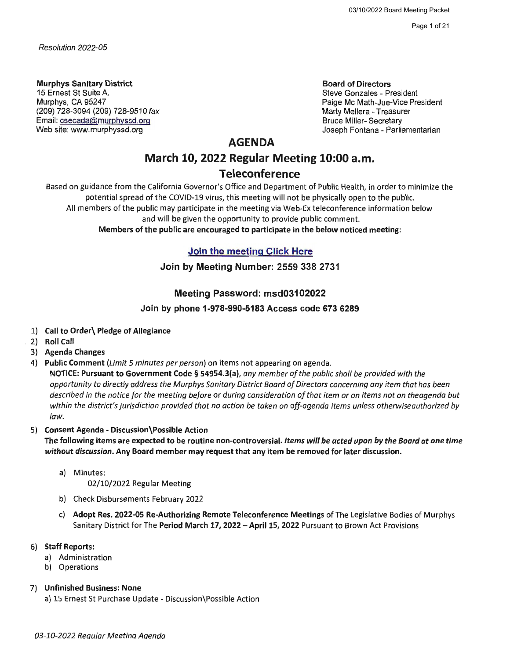Page 1 of 21

*Resolution 2022-05* 

**Murphys Sanitary District**  15 Ernest St Suite A. Murphys, CA 95247 (209) 728-3094 (209) 728-9510 fax Email: csecada@murphyssd.org Web site: www.murphyssd.org

**Board of Directors**  Steve Gonzales - President Paige Mc Math-Jue-Vice President

Marty Mellera - Treasurer Bruce Miller- Secretary Joseph Fontana - Parliamentarian

### **AGENDA**

# **March 10, 2022 Regular Meeting 10:00 a.m.**

## **Teleconference**

Based on guidance from the California Governor's Office and Department of Public Health, in order to minimize the potential spread of the COVID-19 virus, this meeting will not be physically open to the public. All members of the public may participate in the meeting via Web-Ex teleconference information below and will be given the opportunity to provide public comment. **Members of the public are encouraged to participate** in **the below noticed meeting:** 

**Join the meeting Click Here** 

**Join by Meeting Number: 2559 338** 2731

#### Meeting Password: msd03102022

#### Join by phone 1-978-990-5183 Access code 673 6289

- 1) **Call to Order\ Pledge of Allegiance**
- 2) **Roll Call**
- 3) **Agenda Changes**
- 4) **Public Comment** *(Limit 5 minutes per person)* on items not appearing on agenda.

**NOTICE: Pursuant to Government Code** § **54954.3(a),** *any member of the public shall be provided with the opportunity to directly address the Murphys Sanitary District Board of Directors concerning any item that has been described in the notice for the meeting before or during consideration of that item or on items not on the agenda but within the district's jurisdiction provided that no action be taken on off-agenda items unless otherwise authorized by law.* 

#### 5) **Consent Agenda** - **Discussion\Possible Action**

**The following items are expected to be routine non-controversial.** *Items will be acted upon by the Board at one time without discussion.* **Any Board member may request that any item be removed for later discussion.** 

a) Minutes:

02/10/2022 Regular Meeting

- b) Check Disbursements February 2022
- c) **Adopt Res. 2022-05 Re-Authorizing Remote Teleconference Meetings** of The Legislative Bodies of Murphys Sanitary District for The **Period March 17, 2022 -April 15, 2022** Pursuant to Brown Act Provisions

#### 6) **Staff Reports:**

- a) Administration
- b) Operations

#### 7) **Unfinished Business: None**

a) 15 Ernest St Purchase Update - Discussion\Possible Action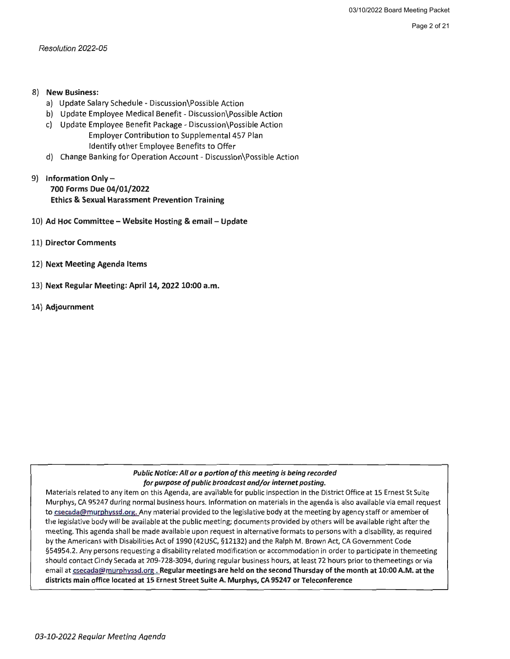Page 2 of 21

Resolution 2022-05

#### 8) **New Business:**

- a) Update Salary Schedule Discussion\Possible Action
- b) Update Employee Medical Benefit Discussion\Possible Action
- c) Update Employee Benefit Package Discussion\Possible Action Employer Contribution to Supplemental 457 Plan Identify other Employee Benefits to Offer
- d) Change Banking for Operation Account Discussion\Possible Action
- 9) **Information Only-700 Forms Due 04/01/2022 Ethics** & **Sexual Harassment Prevention Training**
- 10) **Ad Hoc Committee Website Hosting** & **email Update**
- 11) **Director Comments**
- 12) **Next Meeting Agenda Items**
- 13) **Next Regular Meeting: April 14, 2022 10:00 a.m.**
- 14) **Adjournment**

#### *Public Notice: All or a portion of this meeting is being recorded for purpose of public broadcast and/or internet posting.*

Materials related to any item on this Agenda, are available for public inspection in the District Office at 15 Ernest St Suite Murphys, CA 95247 during normal business hours. Information on materials in the agenda is also available via email request to csecada@murphyssd.org. Any material provided to the legislative body at the meeting by agency staff or amember of the legislative body will be available at the public meeting; documents provided by others will be available right after the meeting. This agenda shall be made available upon request in alternative formats to persons with a disability, as required by the Americans with Disabilities Act of 1990 (42USC, §12132) and the Ralph M. Brown Act, CA Government Code §54954.2. Any persons requesting a disability related modification or accommodation in order to participate in themeeting should contact Cindy Secada at 209-728-3094, during regular business hours, at least 72 hours prior to themeetings or via email at csecada@murphyssd.org . **Regular meetings are held on the second Thursday of the month at 10:00 A.M. at the districts main office located at 15 Ernest Street Suite A. Murphys, CA 95247 or Teleconference**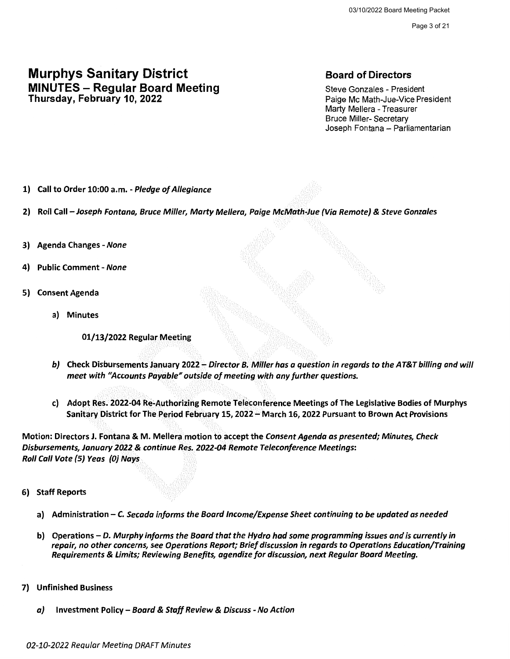Page 3 of 21

## Murphys Sanitary District **MINUTES - Regular Board Meeting** Thursday, February 10, 2022

### Board of Directors

Steve Gonzales - President Paige Mc Math-Jue-Vice President Marty Mellera - Treasurer Bruce Miller- Secretary Joseph Fontana - Parliamentarian

- 1) Call to Order 10:00 a.m. Pledge of Allegiance
- 2) Roll Call Joseph Fontana, Bruce Miller, Marty Mellera, Paige McMath-Jue (Via Remote) & Steve Gonzales
- 3) Agenda Changes None
- 4) Public Comment None
- 5) Consent Agenda
	- a) Minutes

01/13/2022 Regular Meeting

- b) Check Disbursements January 2022 Director B. Miller has a question in regards to the AT&T billing and will meet with "Accounts Payable" outside of meeting with any further questions.
- c) Adopt Res. 2022-04 Re~Authorizing Remote Teleconference Meetings of The Legislative Bodies of Murphys Sanitary District for The Period February 15, 2022 - March 16, 2022 Pursuant to Brown Act Provisions

Motion: Directors J. Fontana & M. Mellera motion to accept the Consent Agenda as presented; Minutes, Check Disbursements, January 2022 & continue Res. 2022-04 Remote Teleconference Meetings: Roll Call Vote (5) Yeas (OJ Nays

- 6) Staff Reports
	- a) Administration C. Secada informs the Board Income/Expense Sheet continuing to be updated as needed
	- b) Operations D. Murphy informs the Board that the Hydro had some programming issues and is currently in repair, no other concerns, see Operations Report; Brief discussion in regards to Operations Education/Training Requirements & Limits; Reviewing Benefits, agendize for discussion, next Regular Board Meeting.
- 7) Unfinished Business
	- a) Investment Policy Board & Staff Review & Discuss No Action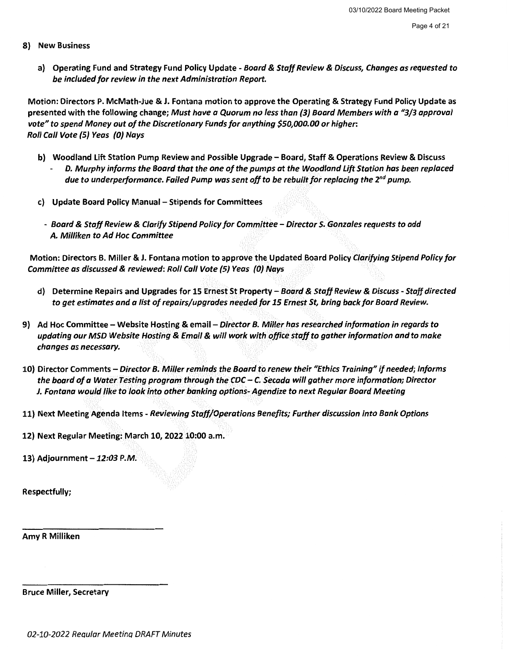- 8) New Business
	- a) Operating Fund and Strategy Fund Policy Update Board & Staff Review & Discuss, Changes as requested to be included for review in the next Administration Report.

Motion: Directors P. McMath-Jue & J. Fontana motion to approve the Operating & Strategy Fund Policy Update as presented with the following change; Must have a Quorum no less than (3J Board Members with a "3/3 approval vote" to spend Money out of the Discretionary Funds for anything *\$50,000.00* or higher: Roll Call Vote {5J Yeas (OJ Nays

- b) Woodland Lift Station Pump Review and Possible Upgrade Board, Staff & Operations Review & Discuss
	- D. Murphy informs the Board that the one of the pumps at the Woodland Lift Station has been replaced due to underperformance. Failed Pump was sent off to be rebuilt for replacing the  $2^{nd}$  pump.
- c) Update Board Policy Manual Stipends for Committees
	- Board & Staff Review & Clarify Stipend Policy for Committee Director S. Gonzales requests to add A. Milliken to Ad Hoc Committee

Motion: Directors B. Miller & J. Fontana motion to approve the Updated Board Policy Clarifying Stipend Policy for Committee as discussed & reviewed: Roll Call Vote {5J Yeas (OJ Nays

- d) Determine Repairs and Upgrades for 15 Ernest St Property Board & Staff Review & Discuss Staff directed to get estimates and a list of repairs/upgrades needed for *15* Ernest St, bring back for Board Review.
- 9) Ad Hoc Committee Website Hosting & email Director B. Miller has researched information in regards to updating our MSD Website Hosting & Email & will work with· office staff to gather information and to make changes as necessary.
- 10) Director Comments Director 8. Miller reminds the Board to renew their "Ethics Training" if needed; Informs the board of a Water Testing program through the CDC - C. Secada will gather more information; Director J. Fontana would like to look into other banking options- Agendize to next Regular Board Meeting
- 11) Next Meeting Agenda Items Reviewing Staff/Operations Benefits; Further discussion into Bank Options

12) Next Regular Meeting: March 10, 2022 10:00 a.m.

13) Adjournment *-12:03* P.M.

Respectfully;

Amy R Milliken

Bruce Miller, Secretary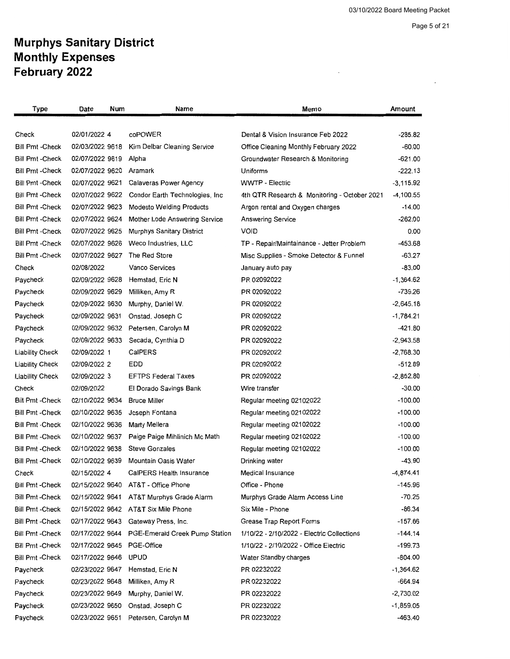$\mathcal{A}^{\text{out}}$ 

Page 5 of 21

 $\sim$  .

## **Murphys Sanitary District Monthly Expenses February 2022**

| Type                    | Date<br>Num     | Name                                | Memo                                         | Amount      |
|-------------------------|-----------------|-------------------------------------|----------------------------------------------|-------------|
|                         |                 |                                     |                                              |             |
| Check                   | 02/01/2022 4    | coPOWER                             | Dental & Vision Insurance Feb 2022           | -285.82     |
| <b>Bill Pmt - Check</b> | 02/03/2022 9618 | Kim Delbar Cleaning Service         | Office Cleaning Monthly February 2022        | -60.00      |
| <b>Bill Pmt - Check</b> | 02/07/2022 9619 | Alpha                               | Groundwater Research & Monitoring            | $-621.00$   |
| <b>Bill Pmt - Check</b> | 02/07/2022 9620 | Aramark                             | Uniforms                                     | $-222.13$   |
| Bill Pmt -Check         | 02/07/2022 9621 | Calaveras Power Agency              | <b>WWTP - Electric</b>                       | $-3,115.92$ |
| <b>Bill Pmt -Check</b>  | 02/07/2022 9622 | Condor Earth Technologies, Inc.     | 4th QTR Research & Monitoring - October 2021 | $-4,100.55$ |
| <b>Bill Pmt - Check</b> | 02/07/2022 9623 | <b>Modesto Welding Products</b>     | Argon rental and Oxygen charges              | $-14.00$    |
| <b>Bill Pmt -Check</b>  | 02/07/2022 9624 | Mother Lode Answering Service       | <b>Answering Service</b>                     | $-262.00$   |
| Bill Pmt -Check         | 02/07/2022 9625 | Murphys Sanitary District           | <b>VOID</b>                                  | 0.00        |
| <b>Bill Pmt - Check</b> | 02/07/2022 9626 | Weco Industries, LLC                | TP - Repair/Maintainance - Jetter Problem    | $-453.68$   |
| <b>Bill Pmt - Check</b> | 02/07/2022 9627 | The Red Store                       | Misc Supplies - Smoke Detector & Funnel      | -63.27      |
| Check                   | 02/08/2022      | Vanco Services                      | January auto pay                             | $-83.00$    |
| Paycheck                | 02/09/2022 9628 | Hemstad, Eric N                     | PR 02092022                                  | $-1,364.62$ |
| Paycheck                | 02/09/2022 9629 | Milliken, Amy R                     | PR 02092022                                  | -739.26     |
| Paycheck                | 02/09/2022 9630 | Murphy, Daniel W.                   | PR 02092022                                  | $-2,645.18$ |
| Paycheck                | 02/09/2022 9631 | Onstad, Joseph C                    | PR 02092022                                  | $-1,784.21$ |
| Paycheck                | 02/09/2022 9632 | Petersen, Carolyn M                 | PR 02092022                                  | $-421.80$   |
| Paycheck                | 02/09/2022 9633 | Secada, Cynthia D                   | PR 02092022                                  | $-2,943.58$ |
| <b>Liability Check</b>  | 02/09/2022 1    | CalPERS                             | PR 02092022                                  | $-2,768.30$ |
| <b>Liability Check</b>  | 02/09/2022 2    | EDD                                 | PR 02092022                                  | $-512.89$   |
| <b>Liability Check</b>  | 02/09/2022 3    | <b>EFTPS Federal Taxes</b>          | PR 02092022                                  | $-2,852.80$ |
| Check                   | 02/09/2022      | El Dorado Savings Bank              | Wire transfer                                | $-30.00$    |
| <b>Bill Pmt-Check</b>   | 02/10/2022 9634 | <b>Bruce Miller</b>                 | Regular meeting 02102022                     | $-100.00$   |
| <b>Bill Pmt - Check</b> | 02/10/2022 9635 | Joseph Fontana                      | Regular meeting 02102022                     | $-100.00$   |
| <b>Bill Pmt - Check</b> | 02/10/2022 9636 | Marty Mellera                       | Regular meeting 02102022                     | $-100.00$   |
| <b>Bill Pmt - Check</b> | 02/10/2022 9637 | Paige Paige Mihlinich Mc Math       | Regular meeting 02102022                     | $-100.00$   |
| <b>Bill Pmt -Check</b>  | 02/10/2022 9638 | <b>Steve Gonzales</b>               | Regular meeting 02102022                     | $-100.00$   |
| <b>Bill Pmt -Check</b>  | 02/10/2022 9639 | Mountain Oasis Water                | Drinking water                               | -43.90      |
| Check                   | 02/15/2022 4    | CalPERS Health Insurance            | Medical Insurance                            | $-4,874.41$ |
| <b>Bill Pmt-Check</b>   |                 | 02/15/2022 9640 AT&T - Office Phone | Office - Phone                               | $-145.96$   |
| Bill Pmt -Check         | 02/15/2022 9641 | AT&T Murphys Grade Alarm            | Murphys Grade Alarm Access Line              | $-70.25$    |
| Bill Pmt -Check         |                 | 02/15/2022 9642 AT&T Six Mile Phone | Six Mile - Phone                             | -86.34      |
| Bill Pmt -Check         | 02/17/2022 9643 | Gateway Press, Inc.                 | Grease Trap Report Forms                     | $-157.66$   |
| <b>Bill Pmt -Check</b>  | 02/17/2022 9644 | PGE-Emerald Creek Pump Station      | 1/10/22 - 2/10/2022 - Electric Collections   | $-144.14$   |
| <b>Bill Pmt - Check</b> | 02/17/2022 9645 | PGE-Office                          | 1/10/22 - 2/10/2022 - Office Electric        | -199.73     |
| Bill Pmt -Check         | 02/17/2022 9646 | <b>UPUD</b>                         | Water Standby charges                        | -804.00     |
| Paycheck                | 02/23/2022 9647 | Hemstad, Eric N                     | PR 02232022                                  | $-1,364.62$ |
| Paycheck                | 02/23/2022 9648 | Milliken, Amy R                     | PR 02232022                                  | $-664.94$   |
| Paycheck                | 02/23/2022 9649 | Murphy, Daniel W.                   | PR 02232022                                  | $-2,730.02$ |
| Paycheck                | 02/23/2022 9650 | Onstad, Joseph C                    | PR 02232022                                  | $-1,859.05$ |
| Paycheck                | 02/23/2022 9651 | Petersen, Carolyn M                 | PR 02232022                                  | $-463.40$   |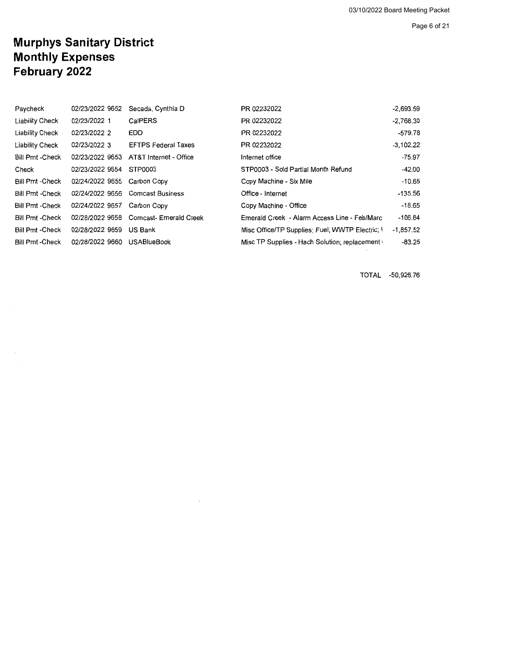Page 6 of 21

## **Murphys Sanitary District Monthly Expenses February 2022**

| Paycheck               | 02/23/2022 9652 | Secada, Cynthia D          | PR 02232022                                     | $-2.693.59$ |
|------------------------|-----------------|----------------------------|-------------------------------------------------|-------------|
| Liability Check        | 02/23/2022 1    | CalPERS                    | PR 02232022                                     | $-2,768.30$ |
| <b>Liability Check</b> | 02/23/2022 2    | <b>EDD</b>                 | PR 02232022                                     | -579.78     |
| Liability Check        | 02/23/2022 3    | <b>EFTPS Federal Taxes</b> | PR 02232022                                     | $-3.102.22$ |
| Bill Pmt - Check       | 02/23/2022 9653 | AT&T Internet - Office     | Internet office                                 | $-75.97$    |
| Check                  | 02/23/2022 9654 | STP0003                    | STP0003 - Sold Partial Month Refund             | -42.00      |
| <b>Bill Pmt-Check</b>  | 02/24/2022 9655 | Carbon Copy                | Copy Machine - Six Mile                         | $-10.65$    |
| <b>Bill Pmt -Check</b> | 02/24/2022 9656 | <b>Comcast Business</b>    | Office - Internet                               | $-135.56$   |
| <b>Bill Pmt-Check</b>  | 02/24/2022 9657 | Carbon Copy                | Copy Machine - Office                           | $-18.65$    |
| Bill Pmt - Check       | 02/28/2022 9658 | Comcast- Emerald Creek     | Emerald Creek - Alarm Access Line - Feb/Marc    | $-106.84$   |
| Bill Pmt -Check        | 02/28/2022 9659 | US Bank                    | Misc Office/TP Supplies; Fuel: WWTP Electric; \ | $-1,857.52$ |
| Bill Pmt -Check        | 02/28/2022 9660 | <b>USABlueBook</b>         | Misc TP Supplies - Hach Solution; replacement ( | $-83.25$    |

TOTAL -50,926.76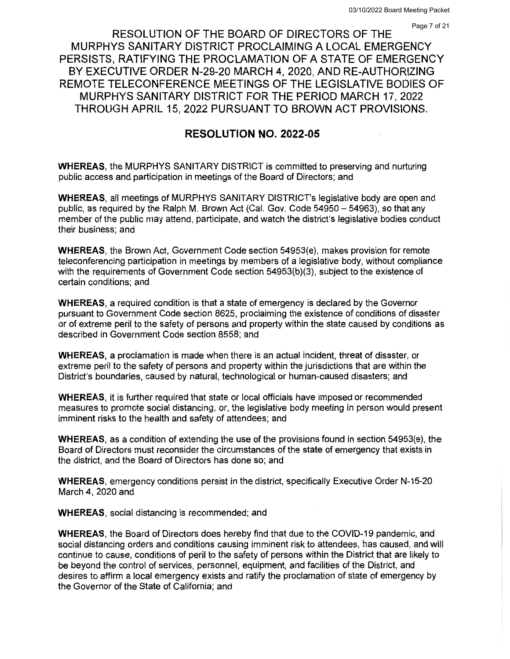RESOLUTION OF THE BOARD OF DIRECTORS OF THE MURPHYS SANITARY DISTRICT PROCLAIMING A LOCAL EMERGENCY PERSISTS, RATIFYING THE PROCLAMATION OF A STATE OF EMERGENCY BY EXECUTIVE ORDER N-29-20 MARCH 4, 2020, AND RE-AUTHORIZING REMOTE TELECONFERENCE MEETINGS OF THE LEGISLATIVE BODIES OF MURPHYS SANITARY DISTRICT FOR THE PERIOD MARCH 17, 2022 THROUGH APRIL 15, 2022 PURSUANT TO BROWN ACT PROVISIONS.

#### **RESOLUTION NO. 2022-05**

**WHEREAS,** the MURPHYS SANITARY DISTRICT is committed to preserving and nurturing public access and participation in meetings of the Board of Directors; and

**WHEREAS,** all meetings of MURPHYS SANITARY DISTRICT's legislative body are open and public, as required by the Ralph M. Brown Act (Cal. Gov. Code 54950- 54963), so that any member of the public may attend, participate, and watch the district's legislative bodies conduct their business; and

**WHEREAS,** the Brown Act, Government Code section 54953(e), makes provision for remote teleconferencing participation in meetings by members of a legislative body, without compliance with the requirements of Government Code section 54953(b)(3), subject to the existence of certain conditions; and

**WHEREAS,** a required condition is that a state of emergency is declared by the Governor pursuant to Government Code section 8625, proclaiming the existence of conditions of disaster or of extreme peril to the safety of persons and property within the state caused by conditions as described in Government Code section 8558; and

**WHEREAS,** a proclamation is made when there is an actual incident, threat of disaster, or extreme peril to the safety of persons and property within the jurisdictions that are within the District's boundaries, caused by natural, technological or human-caused disasters; and

**WHEREAS,** it is further required that state or local officials have imposed or recommended measures to promote social distancing, or, the legislative body meeting in person would present imminent risks to the health and safety of attendees; and

**WHEREAS,** as a condition of extending the use of the provisions found in section 54953(e), the Board of Directors must reconsider the circumstances of the state of emergency that exists in the district, and the Board of Directors has done so; and

**WHEREAS,** emergency conditions persist in the district, specifically Executive Order N-15-20 March 4, 2020 and

**WHEREAS,** social distancing is recommended; and

**WHEREAS,** the Board of Directors does hereby find that due to the COVID-19 pandemic, and social distancing orders and conditions causing imminent risk to attendees, has caused, and will continue to cause, conditions of peril to the safety of persons within the District that are likely to be beyond the control of services, personnel, equipment, and facilities of the District, and desires to affirm a local emergency exists and ratify the proclamation of state of emergency by the Governor of the State of California; and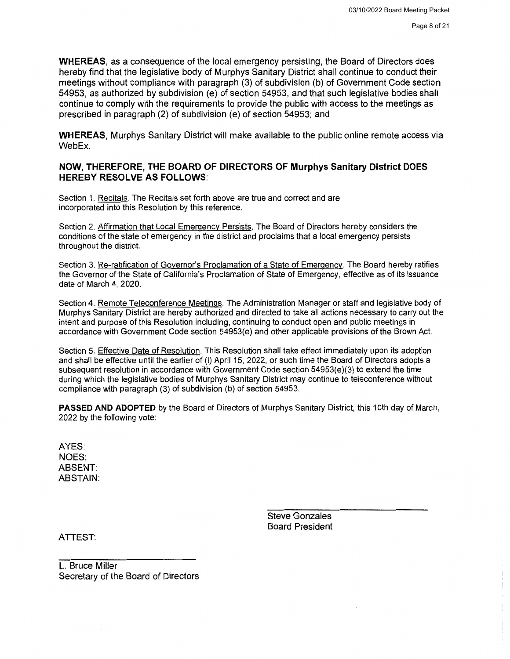**WHEREAS,** as a consequence of the local emergency persisting, the Board of Directors does hereby find that the legislative body of Murphys Sanitary District shall continue to conduct their meetings without compliance with paragraph (3) of subdivision (b) of Government Code section 54953, as authorized by subdivision (e) of section 54953, and that such legislative bodies shall continue to comply with the requirements to provide the public with access to the meetings as prescribed in paragraph (2) of subdivision (e) of section 54953; and

**WHEREAS,** Murphys Sanitary District will make available to the public online remote access via WebEx.

#### **NOW, THEREFORE, THE BOARD OF DIRECTORS OF Murphys Sanitary District DOES HEREBY RESOLVE AS FOLLOWS:**

Section 1. Recitals. The Recitals set forth above are true and correct and are incorporated into this Resolution by this reference.

Section 2. Affirmation that Local Emergency Persists. The Board of Directors hereby considers the conditions of the state of emergency in the district and proclaims that a local emergency persists throughout the district.

Section 3. Re-ratification of Governor's Proclamation of a State of Emergency. The Board hereby ratifies the Governor of the State of California's Proclamation of State of Emergency, effective as of its issuance date of March 4, 2020.

Section 4. Remote Teleconference Meetings. The Administration Manager or staff and legislative body of Murphys Sanitary District are hereby authorized and directed to take all actions necessary to carry out the intent and purpose of this Resolution including, continuing to conduct open and public meetings in accordance with Government Code section 54953(e) and other applicable provisions of the Brown Act.

Section 5. Effective Date of Resolution. This Resolution shall take effect immediately upon its adoption and shall be effective until the earlier of (i) April 15, 2022, or such time the Board of Directors adopts a subsequent resolution in accordance with Government Code section 54953(e)(3) to extend the time during which the legislative bodies of Murphys Sanitary District may continue to teleconference without compliance with paragraph (3) of subdivision (b) of section 54953.

**PASSED AND ADOPTED** by the Board of Directors of Murphys Sanitary District, this 10th day of March, 2022 by the following vote:

AYES: NOES: ABSENT: ABSTAIN:

> Steve Gonzales Board President

ATTEST:

L. Bruce Miller Secretary of the Board of Directors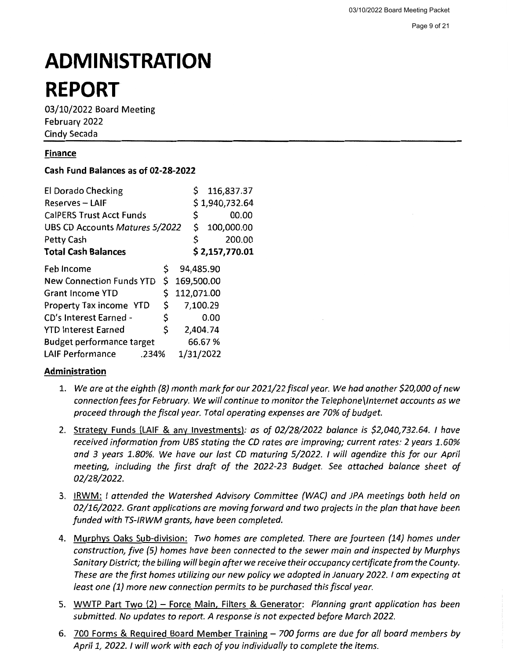# **ADMINISTRATION REPORT**

03/10/2022 Board Meeting February 2022 Cindy Secada

#### **Finance**

#### **Cash Fund Balances as of 02-28-2022**

| <b>El Dorado Checking</b>        |    | \$         |           | 116,837.37     |
|----------------------------------|----|------------|-----------|----------------|
| Reserves - LAIF                  |    |            |           | \$1,940,732.64 |
| <b>CalPERS Trust Acct Funds</b>  |    | \$         |           | 00.00          |
| UBS CD Accounts Matures 5/2022   |    | \$         |           | 100,000.00     |
| Petty Cash                       |    | \$         |           | 200.00         |
| <b>Total Cash Balances</b>       |    |            |           | \$2,157,770.01 |
| Feb Income                       | Ş  |            | 94,485.90 |                |
| <b>New Connection Funds YTD</b>  | \$ | 169,500.00 |           |                |
| <b>Grant Income YTD</b>          | \$ | 112,071.00 |           |                |
| Property Tax income YTD          | \$ |            | 7,100.29  |                |
| CD's Interest Earned -           | \$ |            | 0.00      |                |
| <b>YTD Interest Earned</b>       | \$ |            | 2,404.74  |                |
| <b>Budget performance target</b> |    |            | 66.67%    |                |
| <b>LAIF Performance</b><br>.234% |    |            | 1/31/2022 |                |

#### **Administration**

- 1. *We are at the eighth (8) month mark for our 2021/22/iscal year. We had another \$20,000 of new connection fees for February. We will continue to monitor the Telephone\lnternet accounts as we proceed through the fiscal year. Total operating expenses are 70% of budget.*
- 2. Strategy Funds (LAIF & any Investments): *as of 02/28/2022 balance is \$2,040,732.64. I have received information from UBS stating the CD rates are improving; current rates: 2 years 1.60% and 3 years 1.80%. We have our last CD maturing 5/2022. I will agendize this for our April meeting, including the first draft of the 2022-23 Budget. See attached balance sheet of 02/28/2022.*
- 3. IRWM: / *attended the Watershed Advisory Committee (WAC) and JPA meetings both held on 02/16/2022. Grant applications are moving forward and two projects in the plan that have been funded with TS-/RWM grants, have been completed.*
- 4. Murphys Oaks Sub-division: *Two homes are completed. There are fourteen (14} homes under construction, five (5) homes have been connected to the sewer main and inspected by Murphys Sanitary District; the billing will begin after we receive their occupancy certificate from the County. These are the first homes utilizing our new policy we adopted in January 2022. I am expecting at least one (1) more new connection permits to be purchased this fiscal year.*
- 5. WWTP Part Two (2) Force Main, Filters & Generator: *Planning grant application has been submitted. No updates to report. A response is not expected before March 2022.*
- 6. 700 Forms & Required Board Member Training *700 forms are due for all board members by April 1, 2022. I will work with each of you individually to complete the items.*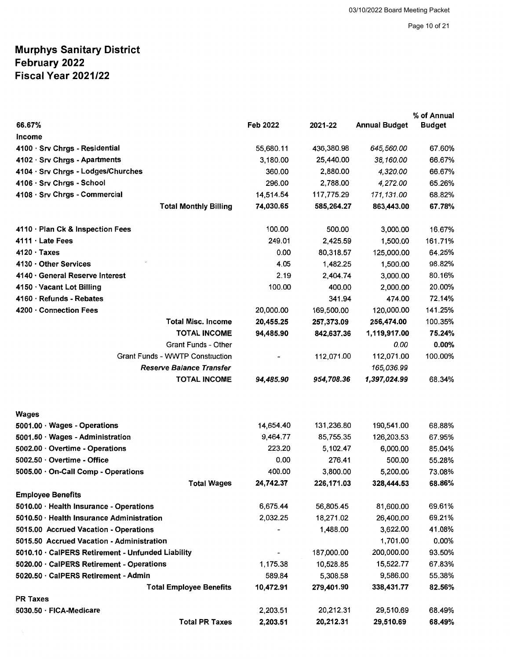|                                                   |                 |            |                      | % of Annual   |
|---------------------------------------------------|-----------------|------------|----------------------|---------------|
| 66.67%                                            | <b>Feb 2022</b> | 2021-22    | <b>Annual Budget</b> | <b>Budget</b> |
| Income                                            |                 |            |                      |               |
| 4100 · Srv Chrgs - Residential                    | 55,680.11       | 436,380.98 | 645,560.00           | 67.60%        |
| 4102 · Srv Chrgs - Apartments                     | 3,180.00        | 25,440.00  | 38,160.00            | 66.67%        |
| 4104 · Srv Chrgs - Lodges/Churches                | 360.00          | 2,880.00   | 4,320.00             | 66.67%        |
| 4106 · Srv Chrgs - School                         | 296.00          | 2,788.00   | 4,272.00             | 65.26%        |
| 4108 · Srv Chrgs - Commercial                     | 14,514.54       | 117,775.29 | 171,131.00           | 68.82%        |
| <b>Total Monthly Billing</b>                      | 74,030.65       | 585,264.27 | 863,443.00           | 67.78%        |
| 4110 · Plan Ck & Inspection Fees                  | 100.00          | 500.00     | 3,000.00             | 16.67%        |
| 4111 · Late Fees                                  | 249.01          | 2,425.59   | 1,500.00             | 161.71%       |
| $4120 \cdot$ Taxes                                | 0.00            | 80,318.57  | 125,000.00           | 64.25%        |
| 4130 · Other Services                             | 4.05            | 1,482.25   | 1,500.00             | 98.82%        |
| 4140 · General Reserve Interest                   | 2.19            | 2,404.74   | 3,000.00             | 80.16%        |
| 4150 · Vacant Lot Billing                         | 100.00          | 400.00     | 2,000.00             | 20.00%        |
| 4160 · Refunds - Rebates                          |                 | 341.94     | 474.00               | 72.14%        |
| 4200 · Connection Fees                            | 20,000.00       | 169,500.00 | 120,000.00           | 141.25%       |
| <b>Total Misc. Income</b>                         | 20,455.25       | 257,373.09 | 256,474.00           | 100.35%       |
| <b>TOTAL INCOME</b>                               | 94,485.90       | 842,637.36 | 1,119,917.00         | 75.24%        |
| Grant Funds - Other                               |                 |            | 0.00                 | 0.00%         |
| <b>Grant Funds - WWTP Construction</b>            |                 | 112,071.00 | 112,071.00           | 100.00%       |
| <b>Reserve Balance Transfer</b>                   |                 |            | 165,036.99           |               |
| <b>TOTAL INCOME</b>                               | 94,485.90       | 954,708.36 | 1,397,024.99         | 68.34%        |
| <b>Wages</b>                                      |                 |            |                      |               |
| $5001.00 \cdot Wages$ - Operations                | 14,654.40       | 131,236.80 | 190,541.00           | 68.88%        |
| 5001.50 · Wages - Administration                  | 9,464.77        | 85,755.35  | 126,203.53           | 67.95%        |
| 5002.00 · Overtime - Operations                   | 223.20          | 5,102.47   | 6,000.00             | 85.04%        |
| 5002.50 · Overtime - Office                       | 0.00            | 276.41     | 500.00               | 55.28%        |
| 5005.00 · On-Call Comp - Operations               | 400.00          | 3,800.00   | 5,200.00             | 73.08%        |
| <b>Total Wages</b>                                | 24,742.37       | 226,171.03 | 328,444.53           | 68.86%        |
| <b>Employee Benefits</b>                          |                 |            |                      |               |
| 5010.00 · Health Insurance - Operations           | 6,675.44        | 56,805.45  | 81,600.00            | 69.61%        |
| 5010.50 · Health Insurance Administration         | 2,032.25        | 18,271.02  | 26,400.00            | 69.21%        |
| 5015.00 Accrued Vacation - Operations             |                 | 1,488.00   | 3,622.00             | 41.08%        |
| 5015.50 Accrued Vacation - Administration         |                 |            | 1,701.00             | 0.00%         |
| 5010.10 · CalPERS Retirement - Unfunded Liability |                 | 187,000.00 | 200,000.00           | 93.50%        |
| 5020.00 · CalPERS Retirement - Operations         | 1,175.38        | 10,528.85  | 15,522.77            | 67.83%        |
| 5020.50 · CalPERS Retirement - Admin              | 589.84          | 5,308.58   | 9,586.00             | 55.38%        |
| <b>Total Employee Benefits</b>                    | 10,472.91       | 279,401.90 | 338,431.77           | 82.56%        |
| <b>PR Taxes</b>                                   |                 |            |                      |               |
| 5030.50 · FICA-Medicare                           | 2,203.51        | 20,212.31  | 29,510.69            | 68.49%        |
| <b>Total PR Taxes</b>                             | 2,203.51        | 20,212.31  | 29,510.69            | 68.49%        |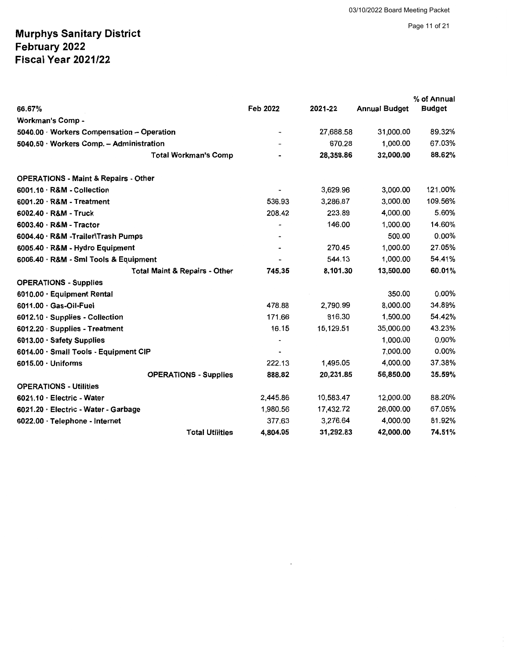Page 11 of 21

|                                                 |          |           |                      | % of Annual   |
|-------------------------------------------------|----------|-----------|----------------------|---------------|
| 66.67%                                          | Feb 2022 | 2021-22   | <b>Annual Budget</b> | <b>Budget</b> |
| Workman's Comp -                                |          |           |                      |               |
| 5040.00 · Workers Compensation - Operation      |          | 27,688.58 | 31,000.00            | 89.32%        |
| 5040.50 Workers Comp. - Administration          |          | 670.28    | 1.000.00             | 67.03%        |
| <b>Total Workman's Comp</b>                     |          | 28,358.86 | 32,000.00            | 88.62%        |
| <b>OPERATIONS - Maint &amp; Repairs - Other</b> |          |           |                      |               |
| $6001.10 \cdot R$ &M - Collection               |          | 3,629.96  | 3,000.00             | 121.00%       |
| $6001.20 \cdot R$ &M - Treatment                | 536.93   | 3.286.87  | 3,000.00             | 109.56%       |
| $6002.40 \cdot R$ &M - Truck                    | 208.42   | 223.89    | 4,000.00             | 5.60%         |
| $6003.40 \cdot R$ &M - Tractor                  |          | 146.00    | 1,000.00             | 14.60%        |
| 6004.40 · R&M -Trailer\Trash Pumps              |          |           | 500.00               | $0.00\%$      |
| 6005.40 · R&M - Hydro Equipment                 |          | 270.45    | 1,000.00             | 27.05%        |
| 6006.40 · R&M - Smi Tools & Equipment           |          | 544.13    | 1,000.00             | 54.41%        |
| <b>Total Maint &amp; Repairs - Other</b>        | 745.35   | 8,101.30  | 13,500.00            | 60.01%        |
| <b>OPERATIONS - Supplies</b>                    |          |           |                      |               |
| 6010.00 · Equipment Rental                      |          |           | 350.00               | $0.00\%$      |
| 6011.00 · Gas-Oil-Fuel                          | 478.88   | 2.790.99  | 8,000.00             | 34.89%        |
| 6012.10 · Supplies - Collection                 | 171.66   | 816.30    | 1,500.00             | 54.42%        |
| 6012.20 · Supplies - Treatment                  | 16.15    | 15,129.51 | 35,000.00            | 43.23%        |
| 6013.00 · Safety Supplies                       |          |           | 1,000.00             | $0.00\%$      |
| 6014.00 · Small Tools - Equipment CIP           |          |           | 7,000.00             | 0.00%         |
| $6015.00 \cdot$ Uniforms                        | 222.13   | 1.495.05  | 4,000.00             | 37.38%        |
| <b>OPERATIONS - Supplies</b>                    | 888.82   | 20,231.85 | 56,850.00            | 35.59%        |
| <b>OPERATIONS - Utilities</b>                   |          |           |                      |               |
| $6021.10 \cdot$ Electric - Water                | 2,445.86 | 10,583.47 | 12,000.00            | 88.20%        |
| 6021.20 · Electric - Water - Garbage            | 1,980.56 | 17,432.72 | 26,000.00            | 67.05%        |
| $6022.00 \cdot$ Telephone - Internet            | 377.63   | 3.276.64  | 4.000.00             | 81.92%        |
| <b>Total Utilities</b>                          | 4,804.05 | 31,292.83 | 42,000.00            | 74.51%        |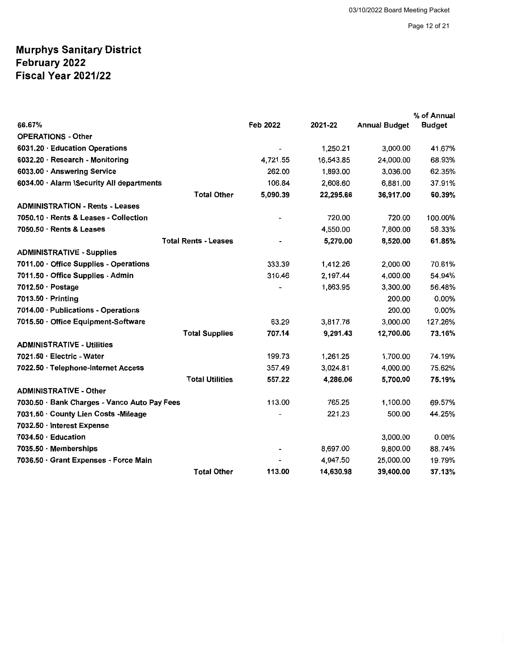|                                              |          |           |                      | % of Annual   |
|----------------------------------------------|----------|-----------|----------------------|---------------|
| 66.67%                                       | Feb 2022 | 2021-22   | <b>Annual Budget</b> | <b>Budget</b> |
| <b>OPERATIONS - Other</b>                    |          |           |                      |               |
| 6031.20 · Education Operations               |          | 1,250.21  | 3,000.00             | 41.67%        |
| 6032.20 · Research - Monitoring              | 4,721.55 | 16,543.85 | 24,000.00            | 68.93%        |
| 6033.00 · Answering Service                  | 262.00   | 1,893.00  | 3,036.00             | 62.35%        |
| 6034.00 · Alarm \Security All departments    | 106.84   | 2,608.60  | 6,881.00             | 37.91%        |
| <b>Total Other</b>                           | 5,090.39 | 22,295.66 | 36,917.00            | 60.39%        |
| <b>ADMINISTRATION - Rents - Leases</b>       |          |           |                      |               |
| 7050.10 · Rents & Leases - Collection        |          | 720.00    | 720.00               | 100.00%       |
| $7050.50 \cdot$ Rents & Leases               |          | 4,550.00  | 7,800.00             | 58.33%        |
| <b>Total Rents - Leases</b>                  |          | 5,270.00  | 8,520.00             | 61.85%        |
| <b>ADMINISTRATIVE - Supplies</b>             |          |           |                      |               |
| 7011.00 · Office Supplies - Operations       | 333.39   | 1,412.26  | 2,000.00             | 70.61%        |
| 7011.50 · Office Supplies - Admin            | 310.46   | 2,197.44  | 4,000.00             | 54.94%        |
| $7012.50 \cdot Postaae$                      |          | 1,863.95  | 3,300.00             | 56.48%        |
| 7013.50 · Printing                           |          |           | 200.00               | 0.00%         |
| 7014.00 · Publications - Operations          |          |           | 200.00               | 0.00%         |
| 7015.50 · Office Equipment-Software          | 63.29    | 3,817.78  | 3,000.00             | 127.26%       |
| <b>Total Supplies</b>                        | 707.14   | 9,291.43  | 12,700.00            | 73.16%        |
| <b>ADMINISTRATIVE - Utilities</b>            |          |           |                      |               |
| 7021.50 · Electric - Water                   | 199.73   | 1,261.25  | 1,700.00             | 74.19%        |
| 7022.50 · Telephone-Internet Access          | 357.49   | 3,024.81  | 4,000.00             | 75.62%        |
| <b>Total Utilities</b>                       | 557.22   | 4,286.06  | 5,700.00             | 75.19%        |
| <b>ADMINISTRATIVE - Other</b>                |          |           |                      |               |
| 7030.50 · Bank Charges - Vanco Auto Pay Fees | 113.00   | 765.25    | 1,100.00             | 69.57%        |
| 7031.50 · County Lien Costs - Mileage        |          | 221.23    | 500.00               | 44.25%        |
| 7032.50 · Interest Expense                   |          |           |                      |               |
| $7034.50 \cdot$ Education                    |          |           | 3,000.00             | $0.00\%$      |
| $7035.50 \cdot$ Memberships                  |          | 8,697.00  | 9,800.00             | 88.74%        |
| 7036.50 · Grant Expenses - Force Main        |          | 4,947.50  | 25,000.00            | 19.79%        |
| <b>Total Other</b>                           | 113.00   | 14,630.98 | 39,400.00            | 37.13%        |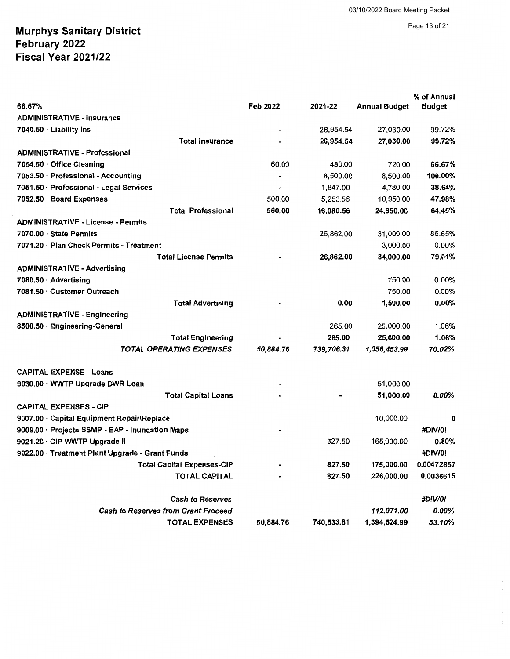#### Page 13 of 21

|                                                 |                          |            |                      | % of Annual    |
|-------------------------------------------------|--------------------------|------------|----------------------|----------------|
| 66.67%                                          | Feb 2022                 | 2021-22    | <b>Annual Budget</b> | <b>Budget</b>  |
| <b>ADMINISTRATIVE - Insurance</b>               |                          |            |                      |                |
| 7040.50 Liability Ins                           |                          | 26,954.54  | 27,030.00            | 99.72%         |
| <b>Total Insurance</b>                          |                          | 26,954.54  | 27,030.00            | 99.72%         |
| <b>ADMINISTRATIVE - Professional</b>            |                          |            |                      |                |
| 7054.50 Office Cleaning                         | 60.00                    | 480.00     | 720.00               | 66.67%         |
| 7053.50 · Professional - Accounting             | $\overline{\phantom{a}}$ | 8,500.00   | 8,500.00             | 100.00%        |
| 7051.50 · Professional - Legal Services         |                          | 1,847.00   | 4,780.00             | 38.64%         |
| 7052.50 · Board Expenses                        | 500.00                   | 5,253.56   | 10,950.00            | 47.98%         |
| <b>Total Professional</b>                       | 560.00                   | 16,080.56  | 24,950.00            | 64.45%         |
| <b>ADMINISTRATIVE - License - Permits</b>       |                          |            |                      |                |
| $7070.00 \cdot$ State Permits                   |                          | 26,862.00  | 31,000.00            | 86.65%         |
| 7071.20 · Plan Check Permits - Treatment        |                          |            | 3.000.00             | $0.00\%$       |
| <b>Total License Permits</b>                    |                          | 26,862.00  | 34,000.00            | 79.01%         |
| <b>ADMINISTRATIVE - Advertising</b>             |                          |            |                      |                |
| 7080.50 · Advertising                           |                          |            | 750.00               | 0.00%          |
| 7081.50 · Customer Outreach                     |                          |            | 750.00               | $0.00\%$       |
| <b>Total Advertising</b>                        |                          | 0.00       | 1,500.00             | $0.00\%$       |
| <b>ADMINISTRATIVE - Engineering</b>             |                          |            |                      |                |
| 8500.50 · Engineering-General                   |                          | 265.00     | 25,000.00            | 1.06%          |
| <b>Total Engineering</b>                        |                          | 265.00     | 25,000.00            | 1.06%          |
| <b>TOTAL OPERATING EXPENSES</b>                 | 50,884.76                | 739,706.31 | 1,056,453.99         | 70.02%         |
| <b>CAPITAL EXPENSE - Loans</b>                  |                          |            |                      |                |
| 9030.00 · WWTP Upgrade DWR Loan                 |                          |            | 51,000.00            |                |
| <b>Total Capital Loans</b>                      |                          |            | 51,000.00            | 0.00%          |
| <b>CAPITAL EXPENSES - CIP</b>                   |                          |            |                      |                |
| 9007.00 · Capital Equipment Repair\Replace      |                          |            | 10,000.00            | 0              |
| 9009.00 · Projects SSMP - EAP - Inundation Maps |                          |            |                      | #DIV/0!        |
| 9021.20 · CIP WWTP Upgrade II                   |                          | 827.50     | 165,000.00           | 0.50%          |
| 9022.00 · Treatment Plant Upgrade - Grant Funds |                          |            |                      | #DIV/0!        |
| <b>Total Capital Expenses-CIP</b>               |                          | 827.50     | 175,000.00           | 0.00472857     |
| <b>TOTAL CAPITAL</b>                            |                          | 827.50     | 226,000.00           | 0.0036615      |
| <b>Cash to Reserves</b>                         |                          |            |                      | <b>#DIV/0!</b> |
| <b>Cash to Reserves from Grant Proceed</b>      |                          |            | 112,071.00           | 0.00%          |
| <b>TOTAL EXPENSES</b>                           | 50,884.76                | 740,533.81 | 1,394,524.99         | 53.10%         |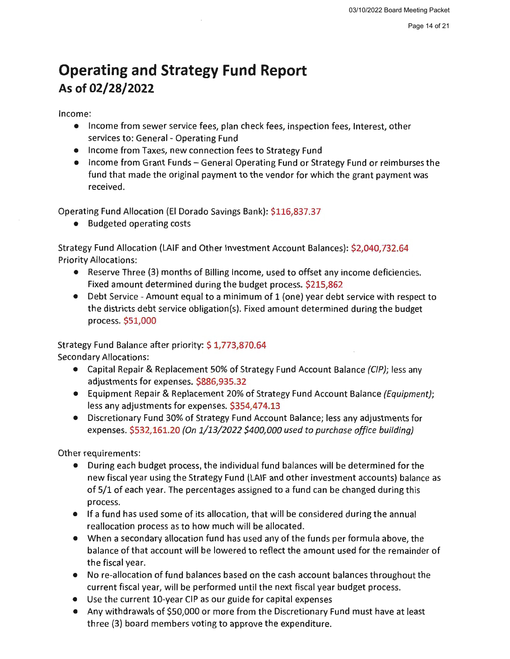# **Operating and Strategy Fund Report As of 02/28/2022**

Income:

- Income from sewer service fees, plan check fees, inspection fees, Interest, other services to: General - Operating Fund
- Income from Taxes, new connection fees to Strategy Fund
- Income from Grant Funds General Operating Fund or Strategy Fund or reimburses the fund that made the original payment to the vendor for which the grant payment was received.

Operating Fund Allocation (El Dorado Savings Bank): \$116,837.37

• Budgeted operating costs

Strategy Fund Allocation (LAIF and Other Investment Account Balances): \$2,040,732.64 Priority Allocations:

- Reserve Three (3) months of Billing Income, used to offset any income deficiencies. Fixed amount determined during the budget process. \$215,862
- Debt Service Amount equal to a minimum of 1 (one) year debt service with respect to the districts debt service obligation(s). Fixed amount determined during the budget process. \$51,000

Strategy Fund Balance after priority: \$ 1,773,870.64 Secondary Allocations:

- Capital Repair & Replacement 50% of Strategy Fund Account Balance (CIP); less any adjustments for expenses. \$886,935.32
- Equipment Repair & Replacement 20% of Strategy Fund Account Balance (Equipment); less any adjustments for expenses. \$354,474.13
- Discretionary Fund 30% of Strategy Fund Account Balance; less any adjustments for expenses. \$532,161.20 (On 1/13/2022 \$400,000 used to purchase office building)

Other requirements:

- During each budget process, the individual fund balances will be determined for the new fiscal year using the Strategy Fund (LAIF and other investment accounts) balance as of 5/1 of each year. The percentages assigned to a fund can be changed during this process.
- If a fund has used some of its allocation, that will be considered during the annual reallocation process as to how much will be allocated.
- When a secondary allocation fund has used any of the funds per formula above, the balance of that account will be lowered to reflect the amount used for the remainder of the fiscal year.
- No re-allocation of fund balances based on the cash account balances throughout the current fiscal year, will be performed until the next fiscal year budget process.
- Use the current 10-year CIP as our guide for capital expenses
- Any withdrawals of \$50,000 or more from the Discretionary Fund must have at least three (3) board members voting to approve the expenditure.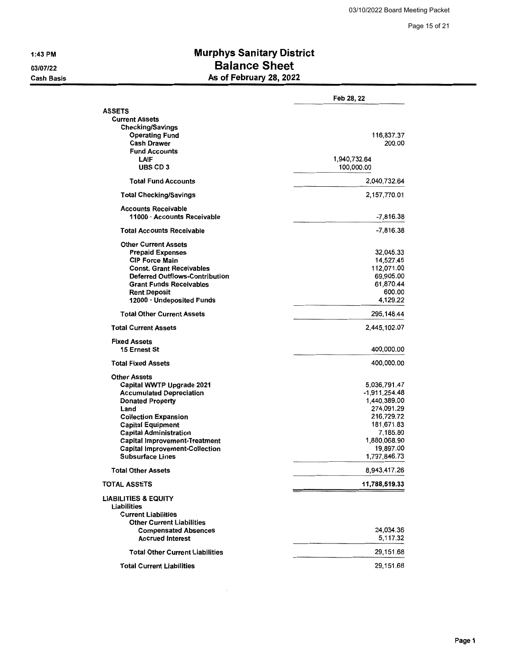1:43 PM

03/07/22 Cash Basis

## **Murphys Sanitary District Balance Sheet**  As of February 28, 2022

|                                                           | Feb 28, 22    |
|-----------------------------------------------------------|---------------|
| <b>ASSETS</b>                                             |               |
| <b>Current Assets</b>                                     |               |
| <b>Checking/Savings</b>                                   |               |
| <b>Operating Fund</b>                                     | 116,837.37    |
| <b>Cash Drawer</b>                                        | 200.00        |
| <b>Fund Accounts</b>                                      |               |
| LAIF                                                      | 1,940,732.64  |
| <b>UBS CD 3</b>                                           | 100,000.00    |
| <b>Total Fund Accounts</b>                                | 2,040,732.64  |
| <b>Total Checking/Savings</b>                             | 2,157,770.01  |
|                                                           |               |
| <b>Accounts Receivable</b><br>11000 · Accounts Receivable | $-7,816.38$   |
| <b>Total Accounts Receivable</b>                          | -7,816.38     |
| <b>Other Current Assets</b>                               |               |
| <b>Prepaid Expenses</b>                                   | 32,045.33     |
| <b>CIP Force Main</b>                                     | 14,527.45     |
| <b>Const. Grant Receivables</b>                           | 112,071.00    |
| <b>Deferred Outflows-Contribution</b>                     | 69,905.00     |
| <b>Grant Funds Receivables</b>                            | 61,870.44     |
| <b>Rent Deposit</b>                                       | 600.00        |
| 12000 · Undeposited Funds                                 | 4,129.22      |
| <b>Total Other Current Assets</b>                         | 295,148.44    |
| <b>Total Current Assets</b>                               | 2,445,102.07  |
| <b>Fixed Assets</b>                                       |               |
| 15 Ernest St                                              | 400,000.00    |
| <b>Total Fixed Assets</b>                                 | 400,000.00    |
| <b>Other Assets</b>                                       |               |
| Capital WWTP Upgrade 2021                                 | 5,036,791.47  |
| <b>Accumulated Depreciation</b>                           | -1,911,254.48 |
| <b>Donated Property</b>                                   | 1,440,389.00  |
| Land                                                      | 274,091.29    |
| <b>Collection Expansion</b>                               | 216,729.72    |
| <b>Capital Equipment</b>                                  | 181,671.83    |
| <b>Capital Administration</b>                             | 7.185.80      |
| <b>Capital Improvement-Treatment</b>                      | 1,880,068.90  |
| <b>Capital Improvement-Collection</b>                     | 19,897.00     |
| <b>Subsurface Lines</b>                                   | 1,797,846.73  |
| <b>Total Other Assets</b>                                 | 8,943,417.26  |
| <b>TOTAL ASSETS</b>                                       | 11,788,519.33 |
| <b>LIABILITIES &amp; EQUITY</b>                           |               |
| Liabilities                                               |               |
| <b>Current Liabilities</b>                                |               |
| <b>Other Current Liabilities</b>                          |               |
| <b>Compensated Absences</b>                               | 24,034.36     |
| <b>Accrued Interest</b>                                   | 5,117.32      |
|                                                           |               |
| <b>Total Other Current Liabilities</b>                    | 29,151.68     |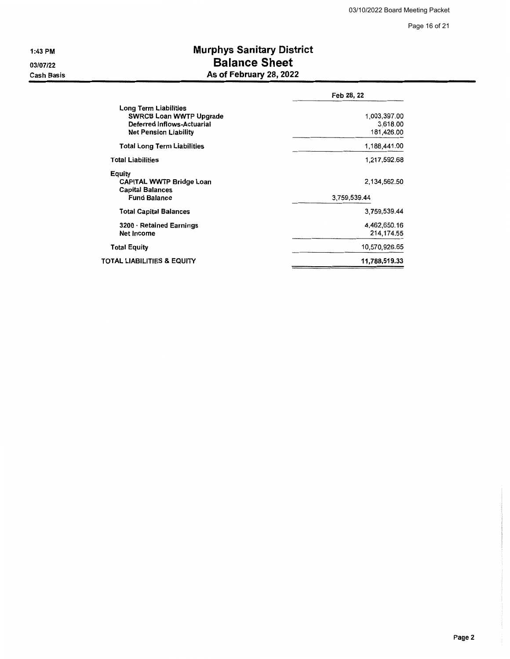1:43 PM

03/07/22 Cash Basis

## **Murphys Sanitary District Balance Sheet As of February 28, 2022**

|                                                                                                                       | Feb 28, 22                             |
|-----------------------------------------------------------------------------------------------------------------------|----------------------------------------|
| Long Term Liabilities<br><b>SWRCB Loan WWTP Upgrade</b><br>Deferred Inflows-Actuarial<br><b>Net Pension Liability</b> | 1,003,397.00<br>3,618.00<br>181,426.00 |
| <b>Total Long Term Liabilities</b>                                                                                    | 1,188,441.00                           |
| <b>Total Liabilities</b>                                                                                              | 1,217,592.68                           |
| Equity<br><b>CAPITAL WWTP Bridge Loan</b><br><b>Capital Balances</b><br><b>Fund Balance</b>                           | 2.134.562.50<br>3,759,539.44           |
| <b>Total Capital Balances</b>                                                                                         | 3,759,539.44                           |
| 3200 · Retained Earnings<br>Net Income                                                                                | 4,462,650.16<br>214.174.55             |
| <b>Total Equity</b>                                                                                                   | 10,570,926.65                          |
| TOTAL LIABILITIES & EQUITY                                                                                            | 11,788,519.33                          |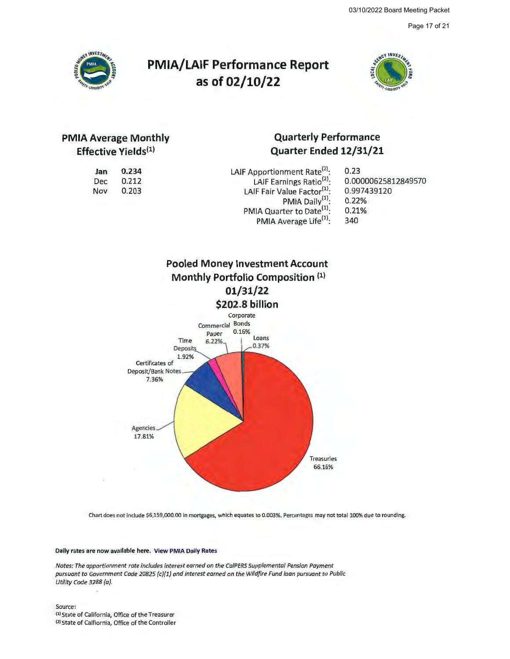Page 17 of 21



# **PMIA/LAIF Performance Report as of 02/10/22**



## **PMIA Average Monthly Effective Yields<sup>(1)</sup>**

**0.234**  0.212 0.203

**Jan**  Dec Nov

## **Quarterly Performance Quarter Ended 12/31/21**

| 0.23                |
|---------------------|
| 0.00000625812849570 |
| 0.997439120         |
| 0.22%               |
| 0.21%               |
| 340                 |
|                     |



Chart does not include \$6,159,000.00 in mortgages, which equates to 0.003%. Percentages may not total 100% due to rounding.

#### **Daily rates are now available here. View PMIA Daily Rates**

*Notes: The apportionment rate includes interest earned on the Ca/PERS Supplemental Pension Payment pursuant to Government Code 20825 (c)(l) and interest earned on the Wildfire Fund loan pursuant to Public Utility Code 3288 (a).* 

Source: 1<sup>1</sup>1 State of California, Office of the Treasurer 121 State of Calfiornia, Office of the Controller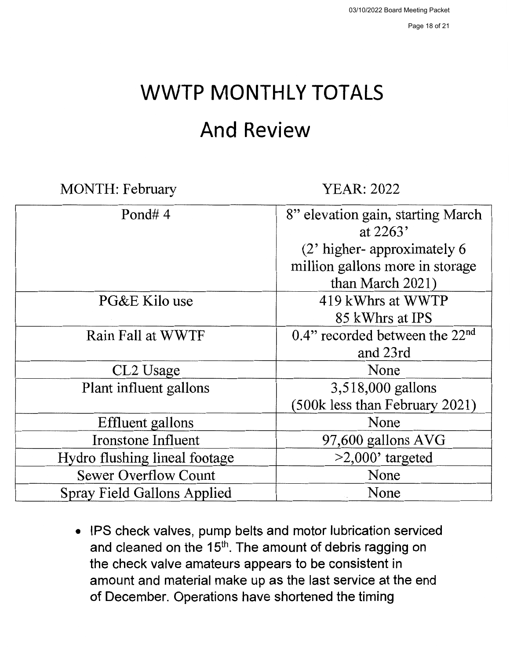# **WWTP MONTHLY TOTALS**

# **And Review**

MONTH: February YEAR: 2022

| Pond# $4$                     | 8" elevation gain, starting March<br>at $2263'$ |
|-------------------------------|-------------------------------------------------|
|                               |                                                 |
|                               | (2' higher-approximately 6                      |
|                               | million gallons more in storage                 |
|                               | than March 2021)                                |
| PG&E Kilo use                 | 419 kWhrs at WWTP                               |
|                               | 85 kWhrs at IPS                                 |
| Rain Fall at WWTF             | 0.4" recorded between the $22nd$                |
|                               | and 23rd                                        |
| CL2 Usage                     | None                                            |
| Plant influent gallons        | 3,518,000 gallons                               |
|                               | (500k less than February 2021)                  |
| Effluent gallons              | None                                            |
| Ironstone Influent            | 97,600 gallons AVG                              |
| Hydro flushing lineal footage | $>2,000$ ' targeted                             |
| <b>Sewer Overflow Count</b>   | None                                            |
| Spray Field Gallons Applied   | None                                            |

• IPS check valves, pump belts and motor lubrication serviced and cleaned on the 15<sup>th</sup>. The amount of debris ragging on the check valve amateurs appears to be consistent in amount and material make up as the last service at the end of December. Operations have shortened the timing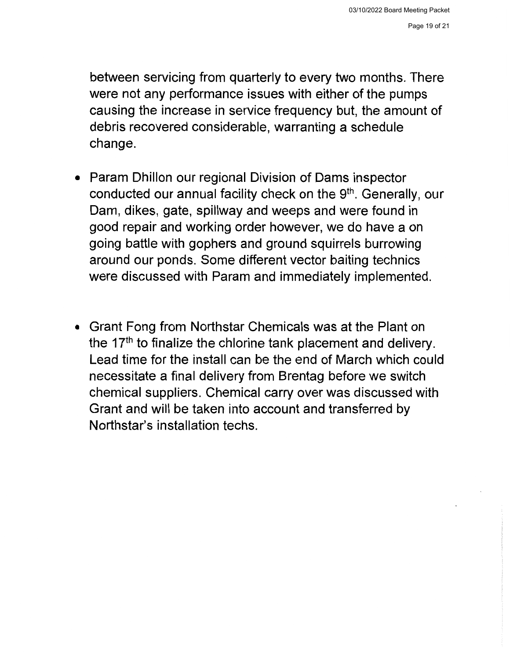between servicing from quarterly to every two months. There were not any performance issues with either of the pumps causing the increase in service frequency but, the amount of debris recovered considerable, warranting a schedule change.

- Param Dhillon our regional Division of Dams inspector conducted our annual facility check on the 9<sup>th</sup>. Generally, our Dam, dikes, gate, spillway and weeps and were found in good repair and working order however, we do have a on going battle with gophers and ground squirrels burrowing around our ponds. Some different vector baiting technics were discussed with Param and immediately implemented.
- Grant Fong from Northstar Chemicals was at the Plant on the  $17<sup>th</sup>$  to finalize the chlorine tank placement and delivery. Lead time for the install can be the end of March which could necessitate a final delivery from Brentag before we switch chemical suppliers. Chemical carry over was discussed with Grant and will be taken into account and transferred by Northstar's installation techs.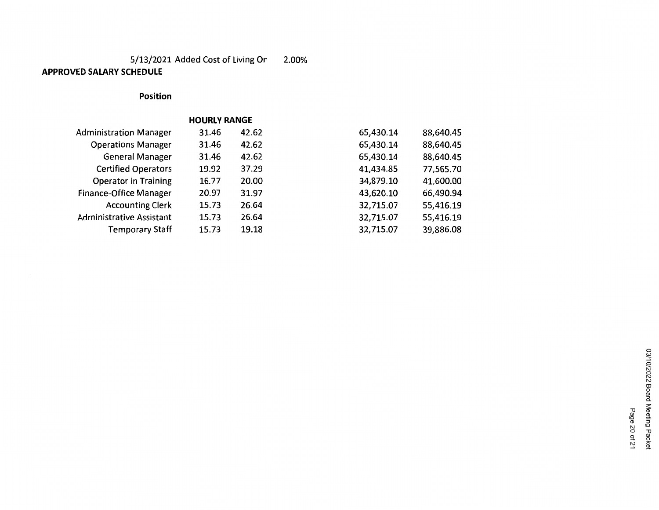#### 5/13/2021 Added Cost of Living Or 2.00% **APPROVED SALARY SCHEDULE**

### **Position**

|                               | <b>HOURLY RANGE</b> |       |           |           |
|-------------------------------|---------------------|-------|-----------|-----------|
| <b>Administration Manager</b> | 31.46               | 42.62 | 65,430.14 | 88,640.45 |
| <b>Operations Manager</b>     | 31.46               | 42.62 | 65,430.14 | 88,640.45 |
| <b>General Manager</b>        | 31.46               | 42.62 | 65,430.14 | 88,640.45 |
| <b>Certified Operators</b>    | 19.92               | 37.29 | 41,434.85 | 77,565.70 |
| <b>Operator in Training</b>   | 16.77               | 20.00 | 34,879.10 | 41,600.00 |
| Finance-Office Manager        | 20.97               | 31.97 | 43,620.10 | 66,490.94 |
| <b>Accounting Clerk</b>       | 15.73               | 26.64 | 32,715.07 | 55,416.19 |
| Administrative Assistant      | 15.73               | 26.64 | 32,715.07 | 55,416.19 |
| Temporary Staff               | 15.73               | 19.18 | 32,715.07 | 39,886.08 |

Page 20 of 21

Page 20 of 21